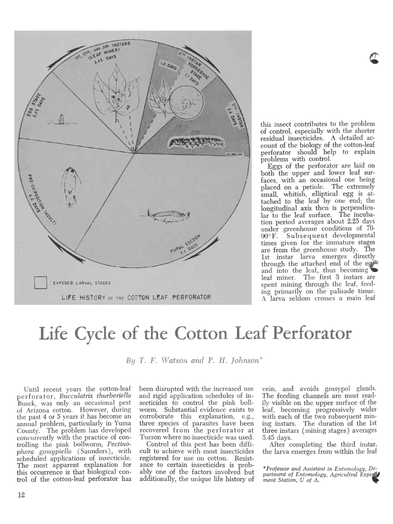

this insect contributes to the problem of control, especially with the shorter residual insecticides. A detailed account of the biology of the cotton -leaf perforator should help to explain<br>problems with control.

Leggs of the perforator are laid on both the upper and lower leaf sur-<br>faces, with an occasional one being placed on a petiole. The extremely small, whitish, elliptical egg is attached to the leaf by one end; the longitudinal axis then is perpendicular to the leaf surface. The incuba-<br>tion period averages about 2.25 days under greenhouse conditions of 70-<br>90°F. Subsequent developmental Subsequent developmental times given for the immature stages are from the greenhouse study. The 1st instar larva emerges directly<br>through the attached end of the eg and into the leaf, thus becoming leaf miner. The first 3 instars are spent mining through the leaf, feed-<br>ing primarily on the palisade tissue. A larva seldom crosses a main leaf

## Life Cycle of the Cotton Leaf Perforator

By T. F. Watson and P. H. Johnson<sup>\*</sup>

of Arizona cotton. However, during the past 4 or 5 years it has become an annual problem, particularly in Yuma County. The problem has developed concurrently with the practice of controlling the pink bollworm, Pectinophora gossypiella (Saunders), with<br>scheduled applications of insecticide. The most apparent explanation for ance to certain insecticides is prob-<br>this occurrence is that biological con-<br>ably one of the factors involved but this occurrence is that biological control of the cotton -leaf perforator has

Until recent years the cotton-leaf been disrupted with the increased use<br>perforator, *Bucculatrix thurberiella* and rigid application schedules of in-<br>Busck, was only an occasional pest secticides to control the pink bollbeen disrupted with the increased use and rigid application schedules of inworm. Substantial evidence exists to corroborate this explanation, e.g., three species of parasites have been recovered from the perforator at Tucson where no insecticide was used. 3.45 days.

Control of this pest has been diffiregistered for use on cotton. Resistance to certain insecticides is prob-<br>ably one of the factors involved but<br> $\frac{1}{p}$  artment of Entomology, Agricultral Experiment additionally, the unique life history of  $\frac{p_{\text{untrivial}}}{\text{ment Station}}$ , U of A.

vein, and avoids gossypol glands. The feeding channels are most readily visible on the upper surface of the leaf, becoming progressively wider with each of the two subsequent mining instars. The duration of the 1st three instars ( mining stages) averages

Control of this pest has been diffi-<br>cult to achieve with most insecticides the larva emerges from within the leaf the larva emerges from within the leaf

\*Professor and Assistant in Entomology, De-